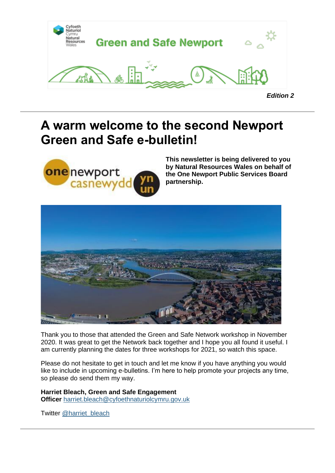

## **A warm welcome to the second Newport Green and Safe e-bulletin!**



**This newsletter is being delivered to you by Natural Resources Wales on behalf of the One Newport Public Services Board partnership.**



Thank you to those that attended the Green and Safe Network workshop in November 2020. It was great to get the Network back together and I hope you all found it useful. I am currently planning the dates for three workshops for 2021, so watch this space.

Please do not hesitate to get in touch and let me know if you have anything you would like to include in upcoming e-bulletins. I'm here to help promote your projects any time, so please do send them my way.

**Harriet Bleach, Green and Safe Engagement Officer** [harriet.bleach@cyfoethnaturiolcymru.gov.uk](mailto:harriet.bleach@cyfoethnaturiolcymru.gov.uk)

Twitter [@harriet\\_bleach](https://twitter.com/harriet_bleach?utm_medium=email&utm_source=govdelivery)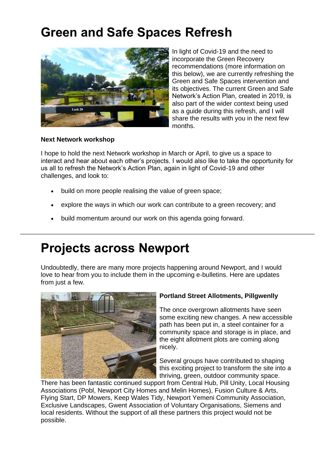# **Green and Safe Spaces Refresh**



In light of Covid-19 and the need to incorporate the Green Recovery recommendations (more information on this below), we are currently refreshing the Green and Safe Spaces intervention and its objectives. The current Green and Safe Network's Action Plan, created in 2019, is also part of the wider context being used as a guide during this refresh, and I will share the results with you in the next few months.

#### **Next Network workshop**

I hope to hold the next Network workshop in March or April, to give us a space to interact and hear about each other's projects. I would also like to take the opportunity for us all to refresh the Network's Action Plan, again in light of Covid-19 and other challenges, and look to:

- build on more people realising the value of green space;
- explore the ways in which our work can contribute to a green recovery; and
- build momentum around our work on this agenda going forward.

## **Projects across Newport**

Undoubtedly, there are many more projects happening around Newport, and I would love to hear from you to include them in the upcoming e-bulletins. Here are updates from just a few.



#### **Portland Street Allotments, Pillgwenlly**

The once overgrown allotments have seen some exciting new changes. A new accessible path has been put in, a steel container for a community space and storage is in place, and the eight allotment plots are coming along nicely.

Several groups have contributed to shaping this exciting project to transform the site into a thriving, green, outdoor community space.

There has been fantastic continued support from Central Hub, Pill Unity, Local Housing Associations (Pobl, Newport City Homes and Melin Homes), Fusion Culture & Arts, Flying Start, DP Mowers, Keep Wales Tidy, Newport Yemeni Community Association, Exclusive Landscapes, Gwent Association of Voluntary Organisations, Siemens and local residents. Without the support of all these partners this project would not be possible.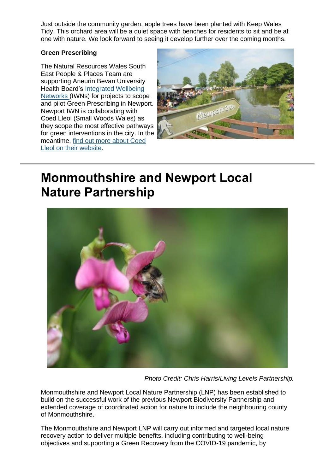Just outside the community garden, apple trees have been planted with Keep Wales Tidy. This orchard area will be a quiet space with benches for residents to sit and be at one with nature. We look forward to seeing it develop further over the coming months.

#### **Green Prescribing**

The Natural Resources Wales South East People & Places Team are supporting Aneurin Bevan University Health Board's Integrated Wellbeing [Networks](https://abuhb.nhs.wales/clinical-futures/integrated-well-being-networks-in-gwent/?utm_medium=email&utm_source=govdelivery) (IWNs) for projects to scope and pilot Green Prescribing in Newport. Newport IWN is collaborating with Coed Lleol (Small Woods Wales) as they scope the most effective pathways for green interventions in the city. In the meantime, [find out more about Coed](https://www.smallwoods.org.uk/en/coedlleol/?utm_medium=email&utm_source=govdelivery)  [Lleol on their website.](https://www.smallwoods.org.uk/en/coedlleol/?utm_medium=email&utm_source=govdelivery)



## **Monmouthshire and Newport Local Nature Partnership**



*Photo Credit: Chris Harris/Living Levels Partnership.*

Monmouthshire and Newport Local Nature Partnership (LNP) has been established to build on the successful work of the previous Newport Biodiversity Partnership and extended coverage of coordinated action for nature to include the neighbouring county of Monmouthshire.

The Monmouthshire and Newport LNP will carry out informed and targeted local nature recovery action to deliver multiple benefits, including contributing to well-being objectives and supporting a Green Recovery from the COVID-19 pandemic, by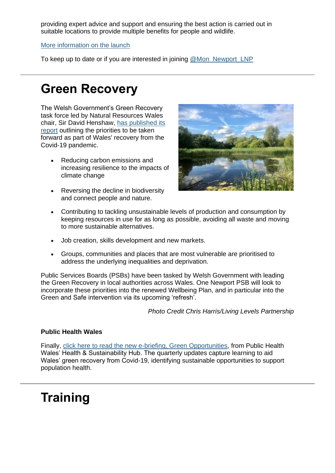providing expert advice and support and ensuring the best action is carried out in suitable locations to provide multiple benefits for people and wildlife.

[More information on the launch](https://www.monmouthshire.gov.uk/2021/01/new-partnership-launches-to-support-action-for-wildlife-in-monmouthshire-and-newport/?utm_medium=email&utm_source=govdelivery)

To keep up to date or if you are interested in joining [@Mon\\_Newport\\_LNP](https://twitter.com/Mon_Newport_LNP?utm_medium=email&utm_source=govdelivery)

## **Green Recovery**

The Welsh Government's Green Recovery task force led by Natural Resources Wales chair, Sir David Henshaw, [has published its](https://naturalresources.wales/about-us/strategies-and-plans/green-recovery-supporting-the-environmental-sector-in-wales/?lang=en&utm_medium=email&utm_source=govdelivery)  [report](https://naturalresources.wales/about-us/strategies-and-plans/green-recovery-supporting-the-environmental-sector-in-wales/?lang=en&utm_medium=email&utm_source=govdelivery) outlining the priorities to be taken forward as part of Wales' recovery from the Covid-19 pandemic.

- Reducing carbon emissions and increasing resilience to the impacts of climate change
- Reversing the decline in biodiversity and connect people and nature.



- Contributing to tackling unsustainable levels of production and consumption by keeping resources in use for as long as possible, avoiding all waste and moving to more sustainable alternatives.
- Job creation, skills development and new markets.
- Groups, communities and places that are most vulnerable are prioritised to address the underlying inequalities and deprivation.

Public Services Boards (PSBs) have been tasked by Welsh Government with leading the Green Recovery in local authorities across Wales. One Newport PSB will look to incorporate these priorities into the renewed Wellbeing Plan, and in particular into the Green and Safe intervention via its upcoming 'refresh'.

*Photo Credit Chris Harris/Living Levels Partnership*

#### **Public Health Wales**

Finally, [click here to read the new e-briefing, Green Opportunities,](https://whiasu.publichealthnetwork.cymru/en/news/green-opportunities-winter-2020/?utm_medium=email&utm_source=govdelivery) from Public Health Wales' Health & Sustainability Hub. The quarterly updates capture learning to aid Wales' green recovery from Covid-19, identifying sustainable opportunities to support population health.

## **Training**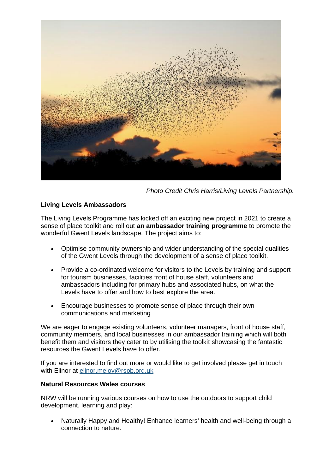

*Photo Credit Chris Harris/Living Levels Partnership.*

### **Living Levels Ambassadors**

The Living Levels Programme has kicked off an exciting new project in 2021 to create a sense of place toolkit and roll out **an ambassador training programme** to promote the wonderful Gwent Levels landscape. The project aims to:

- Optimise community ownership and wider understanding of the special qualities of the Gwent Levels through the development of a sense of place toolkit.
- Provide a co-ordinated welcome for visitors to the Levels by training and support for tourism businesses, facilities front of house staff, volunteers and ambassadors including for primary hubs and associated hubs, on what the Levels have to offer and how to best explore the area.
- Encourage businesses to promote sense of place through their own communications and marketing

We are eager to engage existing volunteers, volunteer managers, front of house staff, community members, and local businesses in our ambassador training which will both benefit them and visitors they cater to by utilising the toolkit showcasing the fantastic resources the Gwent Levels have to offer.

If you are interested to find out more or would like to get involved please get in touch with Elinor at [elinor.meloy@rspb.org.uk](mailto:elinor.meloy@rspb.org.uk)

#### **Natural Resources Wales courses**

NRW will be running various courses on how to use the outdoors to support child development, learning and play:

• Naturally Happy and Healthy! Enhance learners' health and well-being through a connection to nature.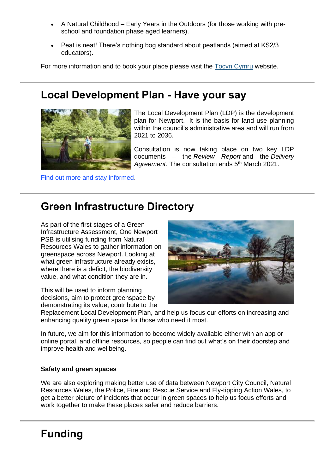- A Natural Childhood Early Years in the Outdoors (for those working with preschool and foundation phase aged learners).
- Peat is neat! There's nothing bog standard about peatlands (aimed at KS2/3) educators).

For more information and to book your place please visit the [Tocyn Cymru](https://tocyn.cymru/en/organisation/c4bc8234-7cec-478a-b200-b92233ffb239?utm_medium=email&utm_source=govdelivery) website.

### **Local Development Plan - Have your say**



The Local Development Plan (LDP) is the development plan for Newport. It is the basis for land use planning within the council's administrative area and will run from 2021 to 2036.

Consultation is now taking place on two key LDP documents – the *Review Report* and the *Delivery*  Agreement. The consultation ends 5<sup>th</sup> March 2021.

[Find out more and stay informed.](http://www.newport.gov.uk/en/Planning-Housing/Planning/Planning-policy/Local-Development-Plan/Replacement-Local-Development-Plan.aspx?utm_medium=email&utm_source=govdelivery)

### **Green Infrastructure Directory**

As part of the first stages of a Green Infrastructure Assessment, One Newport PSB is utilising funding from Natural Resources Wales to gather information on greenspace across Newport. Looking at what green infrastructure already exists, where there is a deficit, the biodiversity value, and what condition they are in.

This will be used to inform planning decisions, aim to protect greenspace by demonstrating its value, contribute to the



Replacement Local Development Plan, and help us focus our efforts on increasing and enhancing quality green space for those who need it most.

In future, we aim for this information to become widely available either with an app or online portal, and offline resources, so people can find out what's on their doorstep and improve health and wellbeing.

#### **Safety and green spaces**

We are also exploring making better use of data between Newport City Council, Natural Resources Wales, the Police, Fire and Rescue Service and Fly-tipping Action Wales, to get a better picture of incidents that occur in green spaces to help us focus efforts and work together to make these places safer and reduce barriers.

### **Funding**